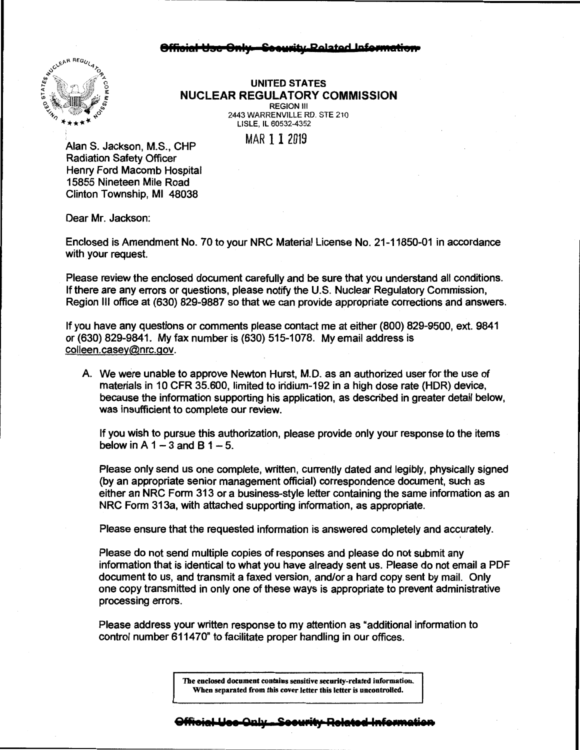#### **8ffioial Usc Only - Seeurity Related Informati**



**UNITED STATES NUCLEAR REGULATORY COMMISSION**  REGION Ill

2443 WARRENVILLE RO. STE 210 LISLE, IL 60532-4352

MAR 11 2019

Alan S. Jackson, M.S., CHP Radiation Safety Officer Henry Ford Macomb Hospital 15855 Nineteen Mile Road Clinton Township, Ml 48038

Dear Mr. Jackson:

Enclosed is Amendment No. 70 to your NRC Material License No. 21-11850-01 in accordance with your request.

Please review the enclosed document carefully and be sure that you understand all conditions. If there are any errors or questions, please notify the U.S. Nuclear Regulatory Commission, Region Ill office at (630) 829-9887 so that we can provide appropriate corrections and answers.

If you have any questions or comments please contact me at either (800) 829-9500, ext. 9841 or (630) 829-9841. My fax number is (630) 515-1078. My email address is colleen.casey@nrc.gov.

A. We were unable to approve Newton Hurst, M.D. as an authorized user for the use of materials in 10 CFR 35.600, limited to iridium-192 in a high dose rate (HOR) device, because the information supporting his application, as described in greater detail below, was insufficient to complete our review.

If you wish to pursue this authorization, please provide only your response to the items below in A  $1-3$  and B  $1-5$ .

Please only send us one complete, written, currently dated and legibly, physically signed (by an appropriate senior management official) correspondence document, such as either an NRC Form 313 or a business-style letter containing the same information as an NRC Form 313a, with attached supporting information, as appropriate.

Please ensure that the requested information is answered completely and accurately.

Please do not send multiple copies of responses and please do not submit any information that is identical to what you have already sent us. Please do not email a PDF document to us, and transmit a faxed version, and/or a hard copy sent by mail. Only one copy transmitted in only one of these ways is appropriate to prevent administrative processing errors.

Please address your written response to my attention as "additional information to control number 611470" to facilitate proper handling in our offices.

> **The enclosed document contains sensitive security-related information. When separated from this cover letter this letter is uncontrolled.**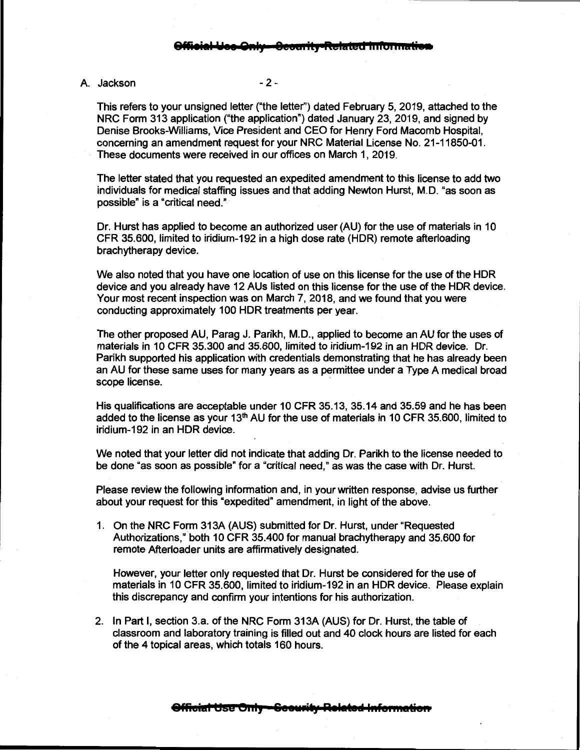## A. Jackson -2 -

This refers to your unsigned letter ("the letter'') dated February 5, 2019, attached to the NRC Form 313 application ("the application") dated January 23, 2019, and signed by Denise Brooks-Williams, Vice President and CEO for Henry Ford Macomb Hospital, concerning an amendment request for your NRC Material License No. 21-11850-01. These documents were received in our offices on March 1, 2019.

The letter stated that you requested an expedited amendment to this license to add two individuals for medical staffing issues and that adding Newton Hurst, M.D. "as soon as possible" is a "critical need."

Dr. Hurst has applied to become an authorized user (AU) for the use of materials in 10 CFR 35.600, limited to iridium-192 in a high dose rate (HOR) remote afterloading brachytherapy device.

We also noted that you have one location of use on this license for the use of the HOR device and you already have 12 AUs listed on this license for the use of the HOR device. Your most recent inspection was on March 7, 2018, and we found that you were conducting approximately 100 HOR treatments per year.

The other proposed AU, Parag J. Parikh, M.D., applied to become an AU for the uses of materials in 10 CFR 35.300 and 35.600, limited to iridium-192 in an HOR device. Dr. Parikh supported his application with credentials demonstrating that he has already been an AU for these same uses for many years as a permittee under a Type A medical broad scope license.

His qualifications are acceptable under 10 CFR 35.13, 35.14 and 35.59 and he has been added to the license as your  $13<sup>th</sup>$  AU for the use of materials in 10 CFR 35.600, limited to iridium-192 in an HOR device.

We noted that your letter did not indicate that adding Dr. Parikh to the license needed to be done "as soon as possible" for a "critical need," as was the case with Dr. Hurst.

Please review the following information and, in your written response, advise us further about your request for this "expedited" amendment, in light of the above.

1. On the NRC Form 313A (AUS) submitted for Dr. Hurst, under "Requested Authorizations," both 10 CFR 35.400 for manual brachytherapy and 35.600 for remote Afterloader units are affirmatively designated.

However, your letter only requested that Dr. Hurst be considered for the use of materials in 10 CFR 35.600, limited to iridium-192 in an HOR device. Please explain this discrepancy and confirm your intentions for his authorization.

2. In Part I, section 3.a. of the NRC Form 313A (AUS) for Dr. Hurst, the table of classroom and laboratory training is filled out and 40 clock hours are listed for each of the 4 topical areas, which totals 160 hours.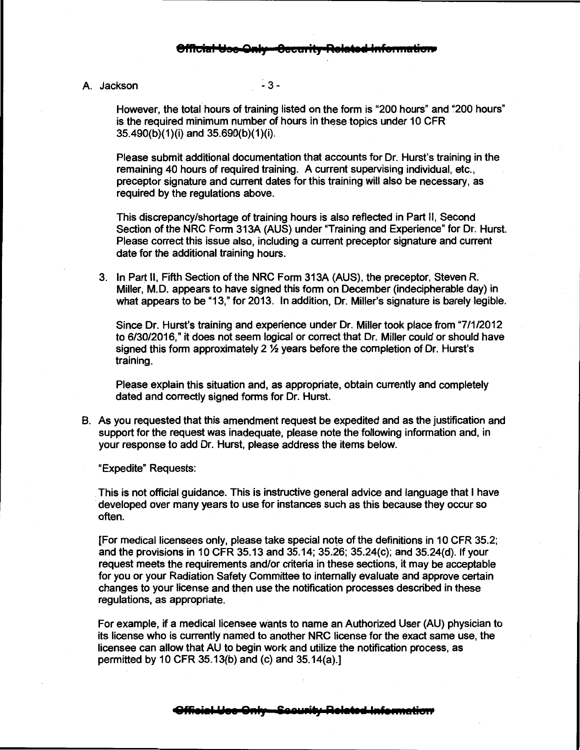### A Jackson -3-

However, the total hours of training listed on the form is "200 hours" and "200 hours" is the required minimum number of hours in these topics under 10 GFR 35.490(b)(1)(i) and 35.690(b)(1)(i).

Please submit additional documentation that accounts for Dr. Hurst's training in the remaining 40 hours of required training. A current supervising individual, etc., preceptor signature and current dates for this training will also be necessary, as required by the regulations above.

This discrepancy/shortage of training hours is also reflected in Part II, Second Section of the NRG Form 313A (AUS) under "Training and Experience" for Dr. Hurst. Please correct this issue also, including a current preceptor signature and current date for the additional training hours.

3. In Part II, Fifth Section of the NRG Form 313A (AUS), the preceptor, Steven R. Miller, M.D. appears to have signed this form on December (indecipherable day) in what appears to be "13," for 2013. In addition, Dr. Miller's signature is barely legible.

Since Dr. Hurst's training and experience under Dr. Miller took place from "7/1/2012 to 6/30/2016," it does not seem logical or correct that Dr. Miller could or should have signed this form approximately 2  $\frac{1}{2}$  years before the completion of Dr. Hurst's training.

Please explain this situation and, as appropriate, obtain currently and completely dated and correctly signed forms for Dr. Hurst.

B. As you requested that this amendment request be expedited and as the justification and support for the request was inadequate, please note the following information and, in your response to add Dr. Hurst, please address the items below.

"Expedite" Requests:

. This is not official guidance. This is instructive general advice and language that I have developed over many years to use for instances such as this because they occur so often.

[For medical licensees only, please take special note of the definitions in 10 GFR 35.2; and the provisions in 10 CFR 35.13 and 35.14; 35.26; 35.24(c); and 35.24(d). If your request meets the requirements and/or criteria in these sections, it may be acceptable for you or your Radiation Safety Committee to internally evaluate and approve certain changes to your license and then use the notification processes described in these regulations, as appropriate.

For example, if a medical licensee wants to name an Authorized User (AU) physician to its license who is currently named to another NRC license for the exact same use, the licensee can allow that AU to begin work and utilize the notification process, as permitted by 10 GFR 35.13(b)and (c) and 35.14(a).]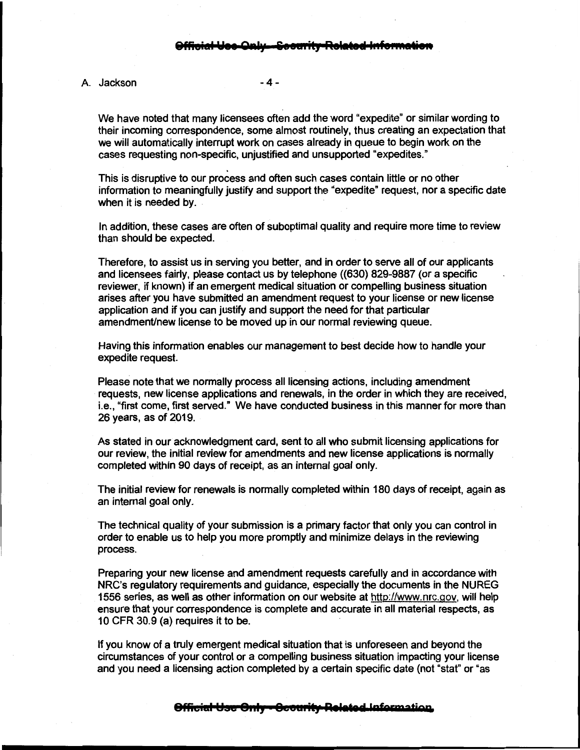### A. Jackson  $-4-$

We have noted that many licensees often add the word "expedite" or similar wording to their incoming correspondence, some almost routinely, thus creating an expectation that we will automatically interrupt work on cases already in queue to begin work on the cases requesting non-specific, unjustified and unsupported "expedites."

This is disruptive to our process and often such cases contain little or no other information to meaningfully justify and support the "expedite" request, nor a specific date when it is needed by.

In addition, these cases are often of suboptimal quality and require more time to review than should be expected.

Therefore, to assist us in serving you better, and in order to serve all of our applicants and licensees fairly, please contact us by telephone ((630) 829-9887 (or a specific reviewer, if known) if an emergent medical situation or compelling business situation arises after you have submitted an amendment request to your license or new license application and if you can justify and support the need for that particular amendment/new license to be moved up in our normal reviewing queue.

Having this information enables our management to best decide how to handle your expedite request.

Please note that we normally process all licensing actions, including amendment requests, new license applications and renewals, in the order in which they are received, i.e., "first come, first served." We have conducted business in this manner for more than 26 years, as of 2019.

As stated in our acknowledgment card, sent to all who submit licensing applications for our review, the initial review for amendments and new license applications is normally completed within 90 days of receipt, as an internal goal only.

The initial review for renewals is normally completed within 180 days of receipt, again as an internal goal only.

The technical quality of your submission **is a** primary factor that only you can control in order to enable us to help you more promptly and minimize delays in the reviewing process.

Preparing your new license and amendment requests carefully and in accordance with NRC's regulatory requirements and guidance, especially the documents in the NUREG 1556 series, as well as other information on our website at http://www.nrc.gov, will help ensure that your correspondence is complete and accurate in all material respects, as 10 CFR 30.9 (a) requires it to be.

If you know of a truly emergent medical situation that is unforeseen and beyond the circumstances of your control or a compelling business situation impacting your license and you need a licensing action completed by a certain specific date (not "stat" or "as

# **8fficial Use Only - Cecurity Related Information**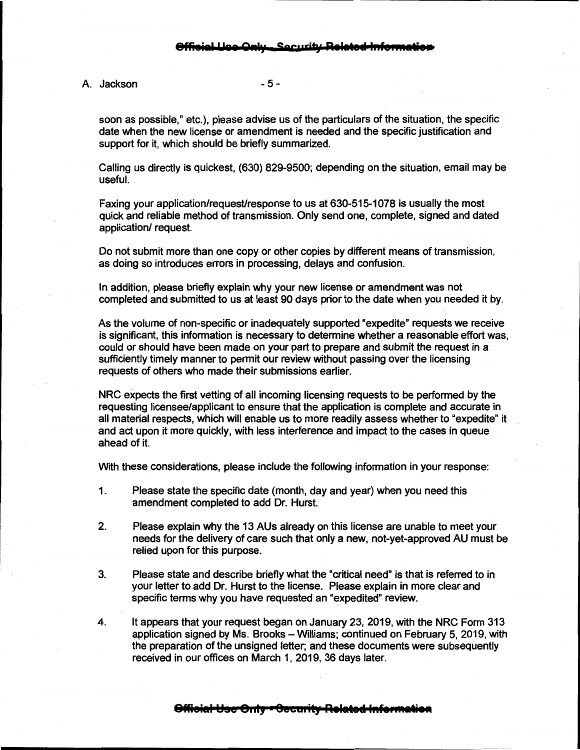A. Jackson - 5 -

soon as possible," etc.), please advise us of the particulars of the situation, the specific date when the new license or amendment is needed and the specific justification and support for it, which should be briefly summarized.

Calling us directly is quickest, (630) 829-9500; depending on the situation, email may be useful.

Faxing your application/request/response to us at 630-515-1078 is usually the most quick and reliable method of transmission. Only send one, complete, signed and dated application/ request.

Do not submit more than one copy or other copies by different means of transmission, as doing so introduces errors in processing, delays and confusion.

In addition, please briefly explain why your new license or amendment was not completed and submitted to us at least 90 days prior to the date when you needed it by.

As the volume of non-specific or inadequately supported "expedite" requests we receive is significant, this information is necessary to determine whether a reasonable effort was, could or should have been made on your part to prepare and submit the request in a sufficiently timely manner to permit our review without passing over the licensing requests of others who made their submissions earlier.

NRC expects the first vetting of all incoming licensing requests to be performed by the requesting licensee/applicant to ensure that the application is complete and accurate in all material respects, which will enable us to more readily assess whether to "expedite" it and act upon it more quickly, with less interference and impact to the cases in queue ahead of it.

With these considerations, please include the following information in your response:

- 1. Please state the specific date (month, day and year) when you need this amendment completed to add Dr. Hurst.
- 2. Please explain why the 13 AUs already on this license are unable to meet your needs for the delivery of care such that only a new, not-yet-approved AU must be relied upon for this purpose.
- 3. Please state and describe briefly what the "critical need" is that is referred to in your letter to add Dr. Hurst to the license. Please explain in more clear and specific terms why you have requested an "expedited" review.
- 4. It appears that your request began on January 23, 2019, with the NRC Form 313 application signed by Ms. Brooks-Williams; continued on February 5, 2019, with the preparation of the unsigned letter; and these documents were subsequently received in our offices on March 1, 2019, 36 days later.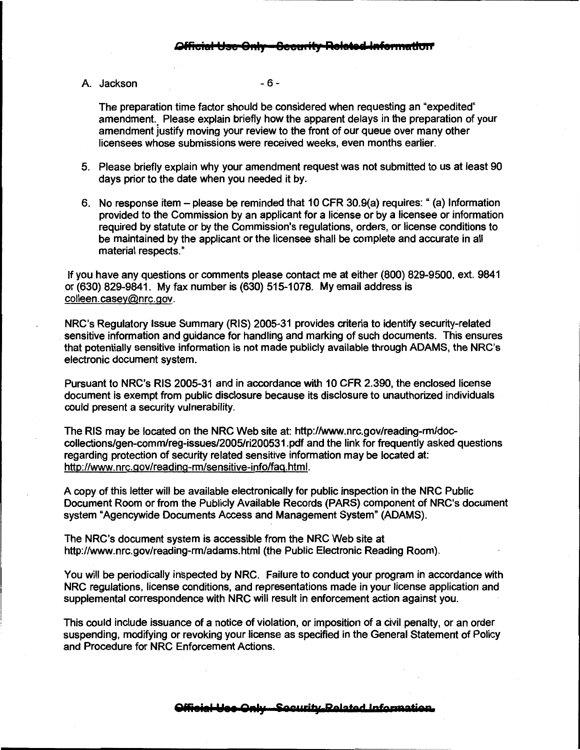A. Jackson - 6 -

The preparation time factor should be considered when requesting an "expedited" amendment. Please explain briefly how the apparent delays in the preparation of your amendment justify moving your review to the front of our queue over many other licensees whose submissions were received weeks, even months earlier.

- 5. Please briefly explain why your amendment request was not submitted to us at least 90 days prior to the date when you needed it by.
- 6. No response item please be reminded that 10 CFR 30.9(a) requires:" (a) Information provided to the Commission by an applicant for a license or by a licensee or information required by statute or by the Commission's regulations, orders, or license conditions to be maintained by the applicant or the licensee shall be complete and accurate in all material respects."

If you have any questions or comments please contact me at either (800) 829-9500, ext. 9841 or (630) 829-9841. My fax number is (630) 515-1078. My email address is colleen.casey@nrc.gov.

NRC's Regulatory Issue Summary (RIS) 2005-31 provides criteria to identify security-related sensitive information and guidance for handling and marking of such documents. This ensures that potentially sensitive information is not made publicly available through ADAMS, the NRC's electronic document system.

Pursuant to NRC's RIS 2005-31 and in accordance with 10 CFR 2.390, the enclosed license document is exempt from public disclosure because its disclosure to unauthorized individuals could present a security vulnerability.

The RIS may be located on the NRC Web site at: http://www.nrc.gov/reading-rm/doccollections/gen-comm/reg-issues/2005/ri200531.pdf and the link for frequently asked questions regarding protection of security related sensitive information may be located at: http://www.nrc.gov/reading-rm/sensitive-info/fag.html.

A copy of this letter will be available electronically for public inspection in the NRC Public Document Room or from the Publicly Available Records (PARS) component of NRC's document system "Agencywide Documents Access and Management System" (ADAMS).

The NRC's document system is accessible from the NRC Web site at http://www.nrc.gov/reading-rm/adams.html (the Public Electronic Reading Room).

You will be periodically inspected by NRC. Failure to conduct your program in accordance with NRC regulations, license conditions, and representations made in your license application and supplemental correspondence with NRC will result in enforcement action against you.

This could include issuance of a notice of violation, or imposition of a civil penalty, or an order suspending, modifying or revoking your license as specified in the General Statement of Policy and Procedure for NRC Enforcement Actions.

#### **Qffieial Ya• Q11ly leourity Related 1oformatiea**